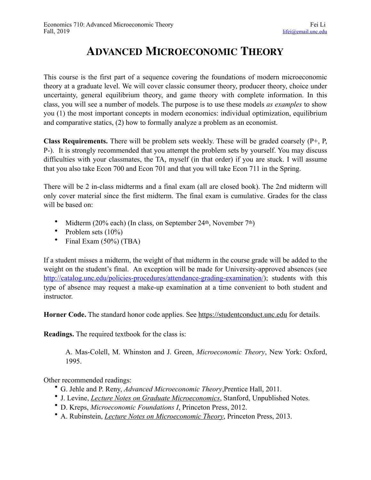## **ADVANCED MICROECONOMIC THEORY**

This course is the first part of a sequence covering the foundations of modern microeconomic theory at a graduate level. We will cover classic consumer theory, producer theory, choice under uncertainty, general equilibrium theory, and game theory with complete information. In this class, you will see a number of models. The purpose is to use these models *as examples* to show you (1) the most important concepts in modern economics: individual optimization, equilibrium and comparative statics, (2) how to formally analyze a problem as an economist.

**Class Requirements.** There will be problem sets weekly. These will be graded coarsely (P+, P, P-). It is strongly recommended that you attempt the problem sets by yourself. You may discuss difficulties with your classmates, the TA, myself (in that order) if you are stuck. I will assume that you also take Econ 700 and Econ 701 and that you will take Econ 711 in the Spring.

There will be 2 in-class midterms and a final exam (all are closed book). The 2nd midterm will only cover material since the first midterm. The final exam is cumulative. Grades for the class will be based on:

- Midterm (20% each) (In class, on September 24th, November 7th)
- Problem sets  $(10\%)$
- Final Exam (50%) (TBA)

If a student misses a midterm, the weight of that midterm in the course grade will be added to the weight on the student's final. An exception will be made for University-approved absences (see <http://catalog.unc.edu/policies-procedures/attendance-grading-examination/>); students with this type of absence may request a make-up examination at a time convenient to both student and instructor.

**Horner Code.** The standard honor code applies. See <https://studentconduct.unc.edu> for details.

**Readings.** The required textbook for the class is:

A. Mas-Colell, M. Whinston and J. Green, *Microeconomic Theory*, New York: Oxford, 1995.

Other recommended readings:

- G. Jehle and P. Reny, *Advanced Microeconomic Theory*,Prentice Hall, 2011.
- J. Levine, *[Lecture Notes on Graduate Microeconomics](http://web.stanford.edu/~jdlevin/teaching.html)*, Stanford, Unpublished Notes.
- D. Kreps, *Microeconomic Foundations I*, Princeton Press, 2012.
- A. Rubinstein, *[Lecture Notes on Microeconomic Theory](http://gametheory.tau.ac.il/arielDocs/)*, Princeton Press, 2013.